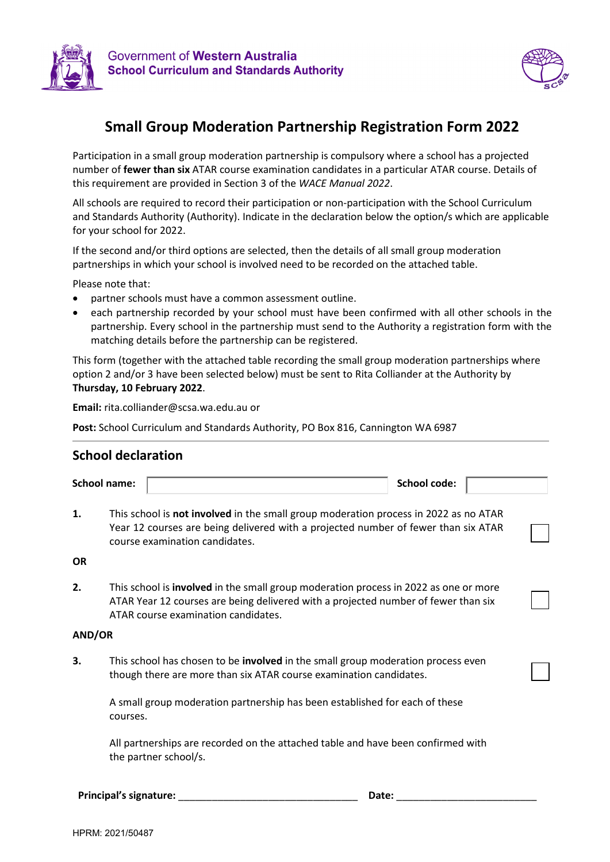



## **Small Group Moderation Partnership Registration Form 2022**

Participation in a small group moderation partnership is compulsory where a school has a projected number of **fewer than six** ATAR course examination candidates in a particular ATAR course. Details of this requirement are provided in Section 3 of the *WACE Manual 2022*.

All schools are required to record their participation or non-participation with the School Curriculum and Standards Authority (Authority). Indicate in the declaration below the option/s which are applicable for your school for 2022.

If the second and/or third options are selected, then the details of all small group moderation partnerships in which your school is involved need to be recorded on the attached table.

Please note that:

- partner schools must have a common assessment outline.
- each partnership recorded by your school must have been confirmed with all other schools in the partnership. Every school in the partnership must send to the Authority a registration form with the matching details before the partnership can be registered.

This form (together with the attached table recording the small group moderation partnerships where option 2 and/or 3 have been selected below) must be sent to Rita Colliander at the Authority by **Thursday, 10 February 2022**.

**Email:** rita.colliander@scsa.wa.edu.au or

**Post:** School Curriculum and Standards Authority, PO Box 816, Cannington WA 6987

## **School declaration**

|           | <b>School name:</b>                                                                                                                                                                                                      |                                                                                                           | <b>School code:</b> |  |  |  |  |  |  |
|-----------|--------------------------------------------------------------------------------------------------------------------------------------------------------------------------------------------------------------------------|-----------------------------------------------------------------------------------------------------------|---------------------|--|--|--|--|--|--|
| 1.        | This school is not involved in the small group moderation process in 2022 as no ATAR<br>Year 12 courses are being delivered with a projected number of fewer than six ATAR<br>course examination candidates.             |                                                                                                           |                     |  |  |  |  |  |  |
| <b>OR</b> |                                                                                                                                                                                                                          |                                                                                                           |                     |  |  |  |  |  |  |
| 2.        | This school is <b>involved</b> in the small group moderation process in 2022 as one or more<br>ATAR Year 12 courses are being delivered with a projected number of fewer than six<br>ATAR course examination candidates. |                                                                                                           |                     |  |  |  |  |  |  |
| AND/OR    |                                                                                                                                                                                                                          |                                                                                                           |                     |  |  |  |  |  |  |
| З.        | This school has chosen to be <b>involved</b> in the small group moderation process even<br>though there are more than six ATAR course examination candidates.                                                            |                                                                                                           |                     |  |  |  |  |  |  |
|           | A small group moderation partnership has been established for each of these<br>courses.                                                                                                                                  |                                                                                                           |                     |  |  |  |  |  |  |
|           |                                                                                                                                                                                                                          | All partnerships are recorded on the attached table and have been confirmed with<br>the partner school/s. |                     |  |  |  |  |  |  |
|           | <b>Principal's signature:</b>                                                                                                                                                                                            | Date:                                                                                                     |                     |  |  |  |  |  |  |